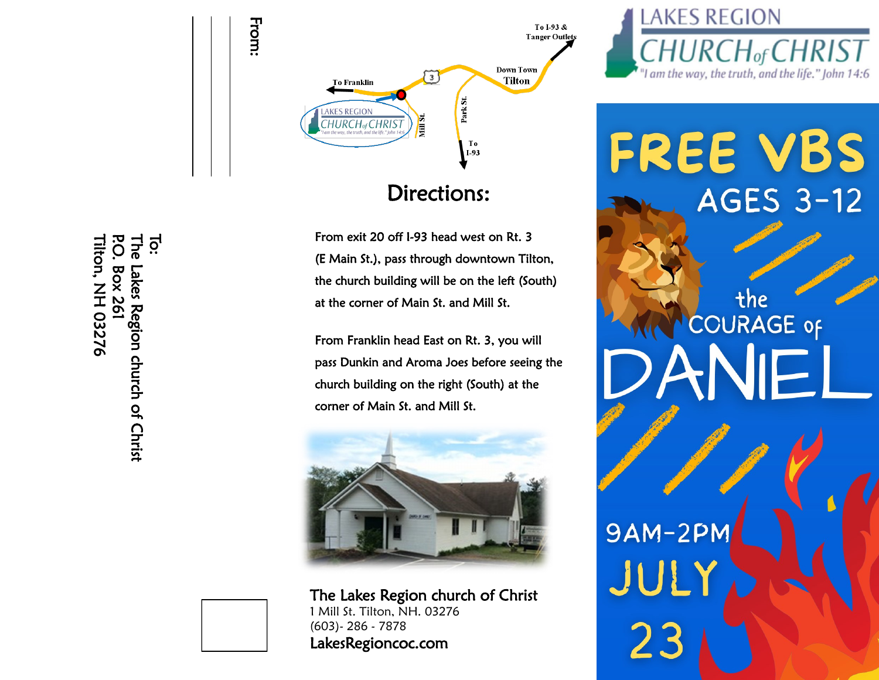

## Directions:

From exit 20 off I-93 head west on Rt. 3 (E Main St.), pass through downtown Tilton, the church building will be on the left (South) at the corner of Main St. and Mill St.

From Franklin head East on Rt. 3, you will pass Dunkin and Aroma Joes before seeing the church building on the right (South) at the corner of Main St. and Mill St.



The Lakes Region church of Christ 1 Mill St. Tilton, NH. 03276 (603)- 286 - 7878



## FREE VBS **AGES 3-12**

the<br>COURAGE of 9AM-2PM JUL